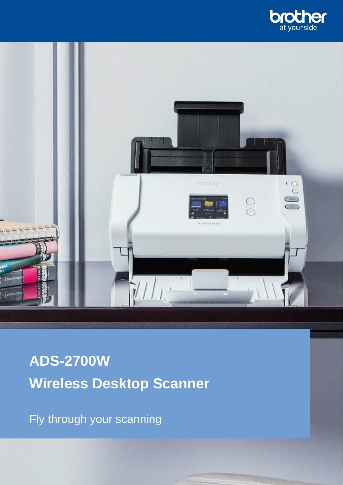



**ADS-2700W Wireless Desktop Scanner**

Fly through your scanning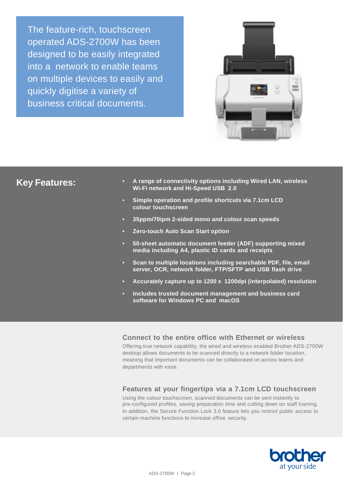The feature-rich, touchscreen operated ADS-2700W has been designed to be easily integrated into a network to enable teams on multiple devices to easily and quickly digitise a variety of business critical documents.



## **Key Features:**

- **A range of connectivity options including Wired LAN, wireless Wi-Fi network and Hi-Speed USB 2.0**
- **Simple operation and profile shortcuts via 7.1cm LCD colour touchscreen**
- **35ppm/70ipm 2-sided mono and colour scan speeds**
- **Zero-touch Auto Scan Start option**
- **50-sheet automatic document feeder (ADF) supporting mixed media including A4, plastic ID cards and receipts**
- **Scan to multiple locations including searchable PDF, file, email server, OCR, network folder, FTP/SFTP and USB flash drive**
- **Accurately capture up to 1200 x 1200dpi (interpolated) resolution**
- **Includes trusted document management and business card software for Windows PC and macOS**

## **Connect to the entire office with Ethernet or wireless**

Offering true network capability, the wired and wireless enabled Brother ADS-2700W desktop allows documents to be scanned directly to a network folder location, meaning that important documents can be collaborated on across teams and departments with ease.

## **Features at your fingertips via a 7.1cm LCD touchscreen**

Using the colour touchscreen, scanned documents can be sent instantly to pre-configured profiles, saving preparation time and cutting down on staff training. In addition, the Secure Function Lock 3.0 feature lets you restrict public access to certain machine functions to increase office security.

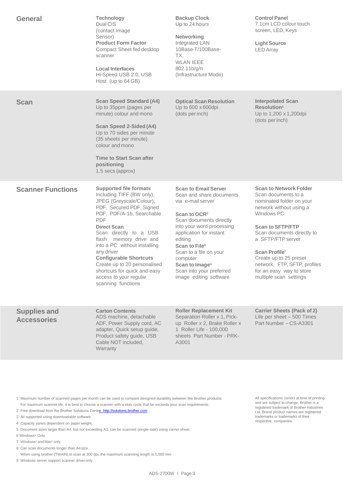| <b>General</b>                            | <b>Technology</b><br>Dual CIS<br>(contact Image)<br>Sensor)<br><b>Product Form Factor</b><br>Compact Sheet fed desktop<br>scanner<br><b>Local Interfaces</b><br>Hi-Speed USB 2.0, USB<br>Host (up to 64 GB)                                                                                                                                                                                                                            | <b>Backup Clock</b><br>Up to 24 hours<br><b>Networking</b><br>Integrated LAN<br>10Base-T/100Base-<br>TX.<br><b>WLAN IEEE</b><br>802.11b/g/n<br>(Infrastructure Mode)                                                                                                                                                                                          | <b>Control Panel</b><br>7.1cm LCD colour touch<br>screen, LED, Keys<br><b>Light Source</b><br><b>LED Array</b>                                                                                                                                                                                                                                       |
|-------------------------------------------|----------------------------------------------------------------------------------------------------------------------------------------------------------------------------------------------------------------------------------------------------------------------------------------------------------------------------------------------------------------------------------------------------------------------------------------|---------------------------------------------------------------------------------------------------------------------------------------------------------------------------------------------------------------------------------------------------------------------------------------------------------------------------------------------------------------|------------------------------------------------------------------------------------------------------------------------------------------------------------------------------------------------------------------------------------------------------------------------------------------------------------------------------------------------------|
| <b>Scan</b>                               | <b>Scan Speed Standard (A4)</b><br>Up to 35ppm (pages per<br>minute) colour and mono<br><b>Scan Speed 2-Sided (A4)</b><br>Up to 70 sides per minute<br>(35 sheets per minute)<br>colour and mono<br><b>Time to Start Scan after</b><br>positioning<br>1.5 secs (approx)                                                                                                                                                                | <b>Optical Scan Resolution</b><br>Up to 600 x 600dpi<br>(dots per inch)                                                                                                                                                                                                                                                                                       | <b>Interpolated Scan</b><br><b>Resolution</b> <sup>3</sup><br>Up to 1,200 x 1,200dpi<br>(dots per inch)                                                                                                                                                                                                                                              |
| <b>Scanner Functions</b>                  | <b>Supported file formats</b><br>Including TIFF (BW only),<br>JPEG (Greyscale/Colour),<br>PDF, Secured PDF, Signed<br>PDF, PDF/A-1b, Searchable<br><b>PDF</b><br><b>Direct Scan</b><br>Scan directly to a USB<br>flash memory drive and<br>into a PC without installing<br>any driver<br><b>Configurable Shortcuts</b><br>Create up to 20 personalised<br>shortcuts for quick and easy<br>access to your regular<br>scanning functions | <b>Scan to Email Server</b><br>Scan and share documents<br>via e-mail server<br>Scan to OCR <sup>3</sup><br>Scan documents directly<br>into your word processing<br>application for instant<br>editing<br>Scan to File <sup>3</sup><br>Scan to a file on your<br>computer<br>Scan to Image <sup>3</sup><br>Scan into your preferred<br>image editing software | <b>Scan to Network Folder</b><br>Scan documents to a<br>nominated folder on your<br>network without using a<br>Windows PC<br><b>Scan to SFTP/FTP</b><br>Scan documents directly to<br>a SFTP/FTP server<br>Scan Profile <sup>7</sup><br>Create up to 25 preset<br>network, FTP, SFTP, profiles<br>for an easy way to store<br>multiple scan settings |
| <b>Supplies and</b><br><b>Accessories</b> | <b>Carton Contents</b><br>ADS machine, detachable<br>ADF, Power Supply cord, AC<br>adapter, Quick setup guide,<br>Product safety guide, USB<br>Cable NOT included,<br>Warranty                                                                                                                                                                                                                                                         | <b>Roller Replacement Kit</b><br>Separation Roller x 1, Pick-<br>up Roller x 2, Brake Roller x<br>1 Roller Life - 100,000<br>sheets Part Number - PRK-<br>A3001                                                                                                                                                                                               | <b>Carrier Sheets (Pack of 2)</b><br>Life per sheet $-500$ Times<br>Part Number - CS-A3301                                                                                                                                                                                                                                                           |
|                                           |                                                                                                                                                                                                                                                                                                                                                                                                                                        |                                                                                                                                                                                                                                                                                                                                                               |                                                                                                                                                                                                                                                                                                                                                      |

1 Maximum number of scanned pages per month can be used to compare designed durability between like Brother products. For maximum scanner life, it is best to choose a scanner with a duty cycle that far exceeds your scan requirements

- 2 Free download from the Brother Solutions Cent[re http://solutions.brother.com](http://solutions.brother.com/)
- 3 All supported using downloadable software
- 4 Capacity varies dependent on paper weight.
- 5 Document sizes larger than A4, but not exceeding A3, can be scanned (single-side) using carrier sheet
- 6 Windows® Only
- 7 Windows® and Mac® only
- 8 Can scan documents longer than A4 size.
- When using brother (TWAIN) to scan at 300 dpi, the maximum scanning length is 5,000 mm
- 9 Windows server support scanner driveronly

All specifications correct at time of printing and are subject to change. Brother is a registered trademark of Brother Industries Ltd. Brand product names are registered trademarks or trademarks of their respective companies.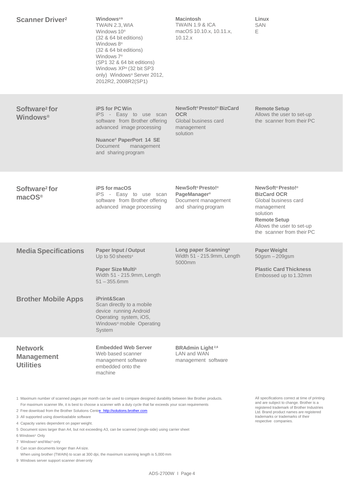| <b>Scanner Driver</b> <sup>2</sup>                                                                                                                                                                                                                                                                                                                                           | Windows®9<br>TWAIN 2.3. WIA<br>Windows 10 <sup>®</sup><br>$(32 \& 64 \text{ bit editions})$<br>Windows 8 <sup>®</sup><br>$(32 \& 64 \text{ bit editions})$<br>Windows $7^{\circ}$<br>(SP1 32 & 64 bit editions)<br>Windows XP® (32 bit SP3<br>only) Windows® Server 2012,<br>2012R2, 2008R2(SP1) | <b>Macintosh</b><br><b>TWAIN 1.9 &amp; ICA</b><br>macOS 10.10.x, 10.11.x,<br>10.12.x                  | Linux<br><b>SAN</b><br>E.                                                                                                                                                              |
|------------------------------------------------------------------------------------------------------------------------------------------------------------------------------------------------------------------------------------------------------------------------------------------------------------------------------------------------------------------------------|--------------------------------------------------------------------------------------------------------------------------------------------------------------------------------------------------------------------------------------------------------------------------------------------------|-------------------------------------------------------------------------------------------------------|----------------------------------------------------------------------------------------------------------------------------------------------------------------------------------------|
| Software <sup>2</sup> for<br><b>Windows®</b>                                                                                                                                                                                                                                                                                                                                 | <b>iPS for PC Win</b><br>iPS - Easy to use scan<br>software from Brother offering<br>advanced image processing<br><b>Nuance<sup>®</sup> PaperPort 14 SE</b><br>Document<br>management<br>and sharing program                                                                                     | NewSoft <sup>®</sup> Presto!® BizCard<br><b>OCR</b><br>Global business card<br>management<br>solution | <b>Remote Setup</b><br>Allows the user to set-up<br>the scanner from their PC                                                                                                          |
| Software <sup>2</sup> for<br>macOS <sup>®</sup>                                                                                                                                                                                                                                                                                                                              | <b>iPS</b> for macOS<br>iPS - Easy to use scan<br>software from Brother offering<br>advanced image processing                                                                                                                                                                                    | NewSoft <sup>®</sup> Presto!®<br><b>PageManager®</b><br>Document management<br>and sharing program    | NewSoft <sup>®</sup> Presto!®<br><b>BizCard OCR</b><br>Global business card<br>management<br>solution<br><b>Remote Setup</b><br>Allows the user to set-up<br>the scanner from their PC |
| <b>Media Specifications</b>                                                                                                                                                                                                                                                                                                                                                  | <b>Paper Input / Output</b><br>Up to 50 sheets <sup>4</sup><br>Paper Size Multi <sup>5</sup><br>Width 51 - 215.9mm, Length<br>$51 - 355.6$ mm                                                                                                                                                    | Long paper Scanning <sup>8</sup><br>Width 51 - 215.9mm, Length<br>5000mm                              | <b>Paper Weight</b><br>50gsm - 209gsm<br><b>Plastic Card Thickness</b><br>Embossed up to 1.32mm                                                                                        |
| <b>Brother Mobile Apps</b>                                                                                                                                                                                                                                                                                                                                                   | iPrint&Scan<br>Scan directly to a mobile<br>device running Android<br>Operating system, iOS,<br>Windows <sup>®</sup> mobile Operating<br><b>System</b>                                                                                                                                           |                                                                                                       |                                                                                                                                                                                        |
| <b>Network</b><br><b>Management</b><br><b>Utilities</b>                                                                                                                                                                                                                                                                                                                      | <b>Embedded Web Server</b><br>Web based scanner<br>management software<br>embedded onto the<br>machine                                                                                                                                                                                           | <b>BRAdmin Light 2,6</b><br>LAN and WAN<br>management software                                        |                                                                                                                                                                                        |
| 1 Maximum number of scanned pages per month can be used to compare designed durability between like Brother products.<br>For maximum scanner life, it is best to choose a scanner with a duty cycle that far exceeds your scan requirements<br>2 Free download from the Brother Solutions Centre http://solutions.brother.com<br>3 All supported using downloadable software | All specifications correct at time of printing<br>and are subject to change. Brother is a<br>registered trademark of Brother Industries<br>Ltd. Brand product names are registered<br>trademarks or trademarks of their                                                                          |                                                                                                       |                                                                                                                                                                                        |

3 All supported using downloadable software

4 Capacity varies dependent on paper weight.

5 Document sizes larger than A4, but not exceeding A3, can be scanned (single-side) using carrier sheet

6 Windows® Only

7 Windows<sup>®</sup> and Mac<sup>®</sup> only

8 Can scan documents longer than A4 size.

When using brother (TWAIN) to scan at 300 dpi, the maximum scanning length is 5,000 mm

9 Windows server support scanner driveronly

respective companies.